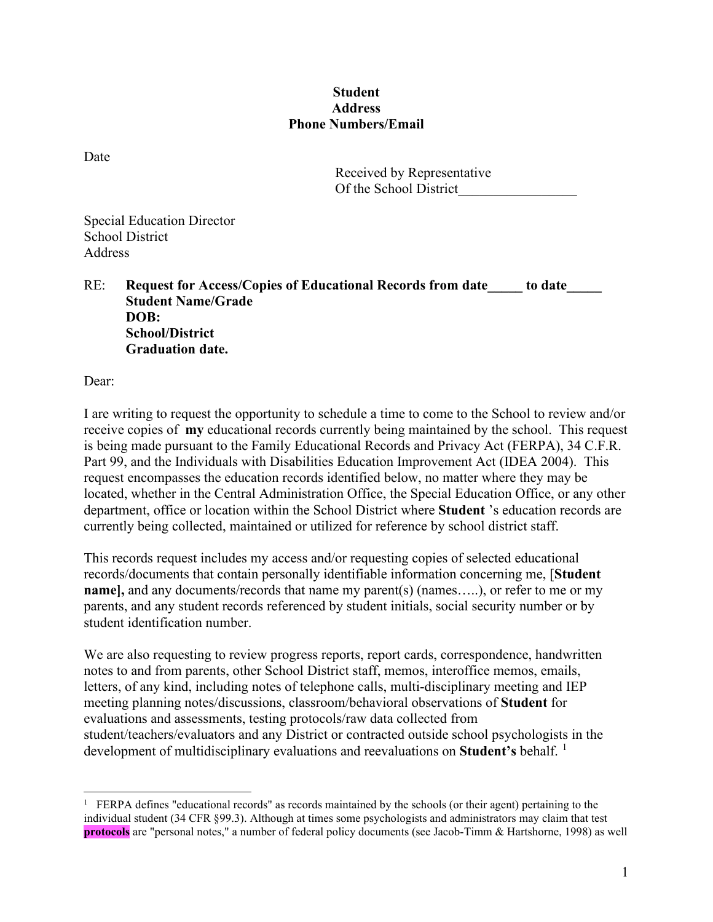## **Student Address Phone Numbers/Email**

Date

Received by Representative Of the School District\_\_\_\_\_\_\_\_\_\_\_\_\_\_\_\_\_

Special Education Director School District Address

RE: **Request for Access/Copies of Educational Records from date** to date **Student Name/Grade DOB: School/District Graduation date.** 

Dear:

I are writing to request the opportunity to schedule a time to come to the School to review and/or receive copies of **my** educational records currently being maintained by the school. This request is being made pursuant to the Family Educational Records and Privacy Act (FERPA), 34 C.F.R. Part 99, and the Individuals with Disabilities Education Improvement Act (IDEA 2004). This request encompasses the education records identified below, no matter where they may be located, whether in the Central Administration Office, the Special Education Office, or any other department, office or location within the School District where **Student** 's education records are currently being collected, maintained or utilized for reference by school district staff.

This records request includes my access and/or requesting copies of selected educational records/documents that contain personally identifiable information concerning me, [**Student name]**, and any documents/records that name my parent(s) (names....), or refer to me or my parents, and any student records referenced by student initials, social security number or by student identification number.

We are also requesting to review progress reports, report cards, correspondence, handwritten notes to and from parents, other School District staff, memos, interoffice memos, emails, letters, of any kind, including notes of telephone calls, multi-disciplinary meeting and IEP meeting planning notes/discussions, classroom/behavioral observations of **Student** for evaluations and assessments, testing protocols/raw data collected from student/teachers/evaluators and any District or contracted outside school psychologists in the development of multidisciplinary evaluations and reevaluations on **Student's** behalf.<sup>[1](#page-0-0)</sup>

<span id="page-0-0"></span><sup>&</sup>lt;sup>1</sup> FERPA defines "educational records" as records maintained by the schools (or their agent) pertaining to the individual student (34 CFR §99.3). Although at times some psychologists and administrators may claim that test **protocols** are "personal notes," a number of federal policy documents (see Jacob-Timm & Hartshorne, 1998) as well